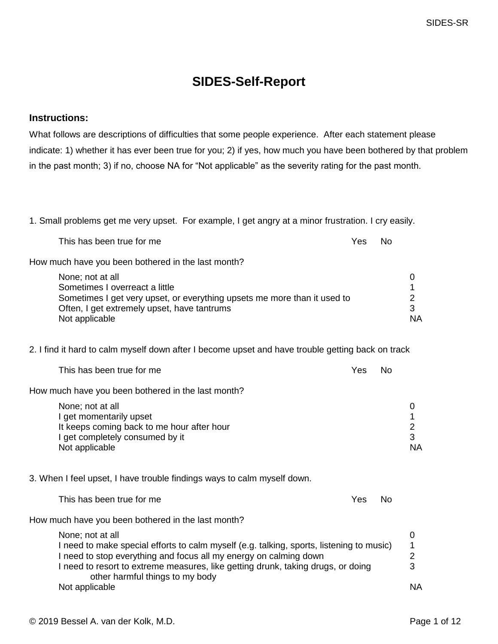## **SIDES-Self-Report**

## **Instructions:**

What follows are descriptions of difficulties that some people experience. After each statement please indicate: 1) whether it has ever been true for you; 2) if yes, how much you have been bothered by that problem in the past month; 3) if no, choose NA for "Not applicable" as the severity rating for the past month.

1. Small problems get me very upset. For example, I get angry at a minor frustration. I cry easily.

| This has been true for me                                                                                                                                                                                                                                                                                | Yes | No        |                                            |
|----------------------------------------------------------------------------------------------------------------------------------------------------------------------------------------------------------------------------------------------------------------------------------------------------------|-----|-----------|--------------------------------------------|
| How much have you been bothered in the last month?                                                                                                                                                                                                                                                       |     |           |                                            |
| None; not at all<br>Sometimes I overreact a little<br>Sometimes I get very upset, or everything upsets me more than it used to<br>Often, I get extremely upset, have tantrums<br>Not applicable                                                                                                          |     |           | 0<br>1<br>$\overline{2}$<br>3<br><b>NA</b> |
| 2. I find it hard to calm myself down after I become upset and have trouble getting back on track                                                                                                                                                                                                        |     |           |                                            |
| This has been true for me                                                                                                                                                                                                                                                                                | Yes | <b>No</b> |                                            |
| How much have you been bothered in the last month?                                                                                                                                                                                                                                                       |     |           |                                            |
| None; not at all<br>I get momentarily upset<br>It keeps coming back to me hour after hour<br>I get completely consumed by it<br>Not applicable                                                                                                                                                           |     |           | 0<br>1<br>$\overline{2}$<br>3<br><b>NA</b> |
| 3. When I feel upset, I have trouble findings ways to calm myself down.                                                                                                                                                                                                                                  |     |           |                                            |
| This has been true for me                                                                                                                                                                                                                                                                                | Yes | <b>No</b> |                                            |
| How much have you been bothered in the last month?                                                                                                                                                                                                                                                       |     |           |                                            |
| None; not at all<br>I need to make special efforts to calm myself (e.g. talking, sports, listening to music)<br>I need to stop everything and focus all my energy on calming down<br>I need to resort to extreme measures, like getting drunk, taking drugs, or doing<br>other harmful things to my body |     |           | 0<br>1<br>$\overline{2}$<br>3              |
| Not applicable                                                                                                                                                                                                                                                                                           |     |           | <b>NA</b>                                  |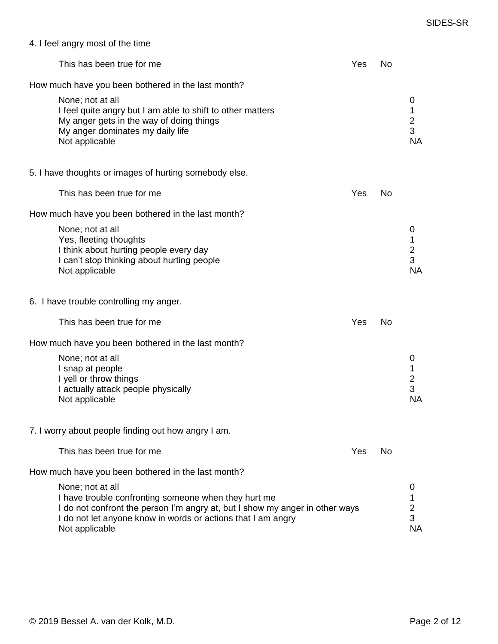|  | 4. I feel angry most of the time |  |  |
|--|----------------------------------|--|--|
|  |                                  |  |  |

| This has been true for me                                                                                                                                                                                                                  | Yes | No |                                                     |
|--------------------------------------------------------------------------------------------------------------------------------------------------------------------------------------------------------------------------------------------|-----|----|-----------------------------------------------------|
| How much have you been bothered in the last month?<br>None; not at all<br>I feel quite angry but I am able to shift to other matters<br>My anger gets in the way of doing things<br>My anger dominates my daily life<br>Not applicable     |     |    | 0<br>1<br>$\frac{2}{3}$<br><b>NA</b>                |
| 5. I have thoughts or images of hurting somebody else.                                                                                                                                                                                     |     |    |                                                     |
| This has been true for me                                                                                                                                                                                                                  | Yes | No |                                                     |
| How much have you been bothered in the last month?                                                                                                                                                                                         |     |    |                                                     |
| None; not at all<br>Yes, fleeting thoughts<br>I think about hurting people every day<br>I can't stop thinking about hurting people<br>Not applicable                                                                                       |     |    | 0<br>1<br>$\frac{2}{3}$<br><b>NA</b>                |
| 6. I have trouble controlling my anger.                                                                                                                                                                                                    |     |    |                                                     |
| This has been true for me                                                                                                                                                                                                                  | Yes | No |                                                     |
| How much have you been bothered in the last month?                                                                                                                                                                                         |     |    |                                                     |
| None; not at all<br>I snap at people<br>I yell or throw things<br>I actually attack people physically<br>Not applicable                                                                                                                    |     |    | 0<br>1<br>$\overline{\mathbf{c}}$<br>3<br><b>NA</b> |
| 7. I worry about people finding out how angry I am.                                                                                                                                                                                        |     |    |                                                     |
| This has been true for me                                                                                                                                                                                                                  | Yes | No |                                                     |
| How much have you been bothered in the last month?                                                                                                                                                                                         |     |    |                                                     |
| None; not at all<br>I have trouble confronting someone when they hurt me<br>I do not confront the person I'm angry at, but I show my anger in other ways<br>I do not let anyone know in words or actions that I am angry<br>Not applicable |     |    | 0<br>1<br>$\overline{2}$<br>3<br><b>NA</b>          |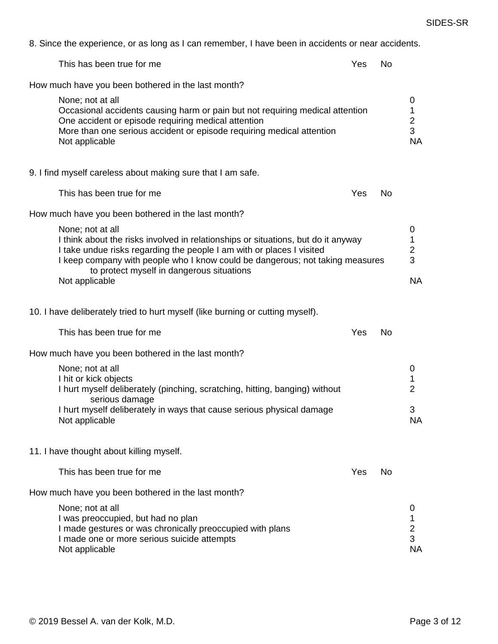| This has been true for me                                                                                                                                                                                                                                                                                                      | Yes | No        |                                            |
|--------------------------------------------------------------------------------------------------------------------------------------------------------------------------------------------------------------------------------------------------------------------------------------------------------------------------------|-----|-----------|--------------------------------------------|
| How much have you been bothered in the last month?                                                                                                                                                                                                                                                                             |     |           |                                            |
| None; not at all<br>Occasional accidents causing harm or pain but not requiring medical attention<br>One accident or episode requiring medical attention<br>More than one serious accident or episode requiring medical attention<br>Not applicable                                                                            |     |           | 0<br>1<br>$\frac{2}{3}$<br><b>NA</b>       |
| 9. I find myself careless about making sure that I am safe.                                                                                                                                                                                                                                                                    |     |           |                                            |
| This has been true for me                                                                                                                                                                                                                                                                                                      | Yes | No        |                                            |
| How much have you been bothered in the last month?                                                                                                                                                                                                                                                                             |     |           |                                            |
| None; not at all<br>I think about the risks involved in relationships or situations, but do it anyway<br>I take undue risks regarding the people I am with or places I visited<br>I keep company with people who I know could be dangerous; not taking measures<br>to protect myself in dangerous situations<br>Not applicable |     |           | 0<br>1<br>$\overline{c}$<br>3<br><b>NA</b> |
| 10. I have deliberately tried to hurt myself (like burning or cutting myself).                                                                                                                                                                                                                                                 |     |           |                                            |
| This has been true for me                                                                                                                                                                                                                                                                                                      | Yes | <b>No</b> |                                            |
| How much have you been bothered in the last month?                                                                                                                                                                                                                                                                             |     |           |                                            |
| None; not at all<br>I hit or kick objects<br>I hurt myself deliberately (pinching, scratching, hitting, banging) without                                                                                                                                                                                                       |     |           | 0<br>1<br>$\overline{2}$                   |
| serious damage<br>I hurt myself deliberately in ways that cause serious physical damage<br>Not applicable                                                                                                                                                                                                                      |     |           | 3<br><b>NA</b>                             |
| 11. I have thought about killing myself.                                                                                                                                                                                                                                                                                       |     |           |                                            |
| This has been true for me                                                                                                                                                                                                                                                                                                      | Yes | No.       |                                            |
| How much have you been bothered in the last month?                                                                                                                                                                                                                                                                             |     |           |                                            |
| None; not at all<br>I was preoccupied, but had no plan<br>I made gestures or was chronically preoccupied with plans<br>I made one or more serious suicide attempts<br>Not applicable                                                                                                                                           |     |           | 0<br>1<br>$\frac{2}{3}$<br><b>NA</b>       |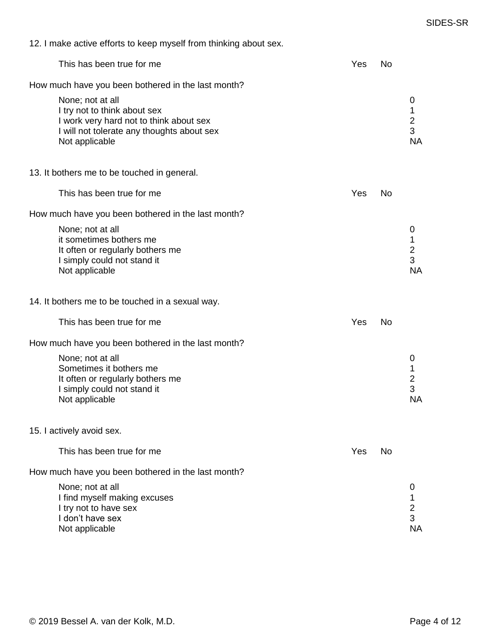|  |  |  | 12. I make active efforts to keep myself from thinking about sex. |
|--|--|--|-------------------------------------------------------------------|
|--|--|--|-------------------------------------------------------------------|

| This has been true for me                                                                                                                                                                                         | Yes | No |                                                     |
|-------------------------------------------------------------------------------------------------------------------------------------------------------------------------------------------------------------------|-----|----|-----------------------------------------------------|
| How much have you been bothered in the last month?<br>None; not at all<br>I try not to think about sex<br>I work very hard not to think about sex<br>I will not tolerate any thoughts about sex<br>Not applicable |     |    | 0<br>1<br>$\frac{2}{3}$<br><b>NA</b>                |
| 13. It bothers me to be touched in general.                                                                                                                                                                       |     |    |                                                     |
| This has been true for me                                                                                                                                                                                         | Yes | No |                                                     |
| How much have you been bothered in the last month?                                                                                                                                                                |     |    |                                                     |
| None; not at all<br>it sometimes bothers me<br>It often or regularly bothers me<br>I simply could not stand it<br>Not applicable                                                                                  |     |    | 0<br>1<br>$\overline{\mathbf{c}}$<br>3<br><b>NA</b> |
| 14. It bothers me to be touched in a sexual way.                                                                                                                                                                  |     |    |                                                     |
| This has been true for me                                                                                                                                                                                         | Yes | No |                                                     |
| How much have you been bothered in the last month?                                                                                                                                                                |     |    |                                                     |
| None; not at all<br>Sometimes it bothers me<br>It often or regularly bothers me<br>I simply could not stand it<br>Not applicable                                                                                  |     |    | 0<br>1<br>$\frac{2}{3}$<br><b>NA</b>                |
| 15. I actively avoid sex.                                                                                                                                                                                         |     |    |                                                     |
| This has been true for me                                                                                                                                                                                         | Yes | No |                                                     |
| How much have you been bothered in the last month?                                                                                                                                                                |     |    |                                                     |
| None; not at all<br>I find myself making excuses<br>I try not to have sex<br>I don't have sex<br>Not applicable                                                                                                   |     |    | 0<br>1<br>$\frac{2}{3}$<br><b>NA</b>                |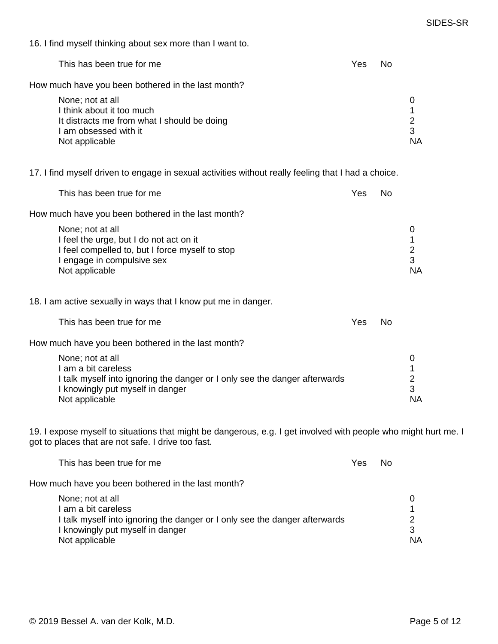16. I find myself thinking about sex more than I want to.

| This has been true for me                                                | Yes | No |    |
|--------------------------------------------------------------------------|-----|----|----|
| How much have you been bothered in the last month?                       |     |    |    |
| None; not at all                                                         |     |    |    |
| I think about it too much<br>It distracts me from what I should be doing |     |    | 2  |
| I am obsessed with it                                                    |     |    | 3  |
| Not applicable                                                           |     |    | ΝA |

17. I find myself driven to engage in sexual activities without really feeling that I had a choice.

| This has been true for me                          | Yes | No |           |
|----------------------------------------------------|-----|----|-----------|
| How much have you been bothered in the last month? |     |    |           |
| None; not at all                                   |     |    |           |
| I feel the urge, but I do not act on it            |     |    |           |
| I feel compelled to, but I force myself to stop    |     |    |           |
| I engage in compulsive sex                         |     |    |           |
| Not applicable                                     |     |    | <b>NA</b> |
|                                                    |     |    |           |

18. I am active sexually in ways that I know put me in danger.

| This has been true for me | Yes | - No |
|---------------------------|-----|------|
|---------------------------|-----|------|

How much have you been bothered in the last month?

| None; not at all                                                           |           |
|----------------------------------------------------------------------------|-----------|
| I am a bit careless                                                        |           |
| I talk myself into ignoring the danger or I only see the danger afterwards |           |
| I knowingly put myself in danger                                           |           |
| Not applicable                                                             | <b>NA</b> |

19. I expose myself to situations that might be dangerous, e.g. I get involved with people who might hurt me. I got to places that are not safe. I drive too fast.

| This has been true for me                                                                                                                                                   | Yes | No |         |
|-----------------------------------------------------------------------------------------------------------------------------------------------------------------------------|-----|----|---------|
| How much have you been bothered in the last month?                                                                                                                          |     |    |         |
| None; not at all<br>I am a bit careless<br>I talk myself into ignoring the danger or I only see the danger afterwards<br>I knowingly put myself in danger<br>Not applicable |     |    | З<br>ΝA |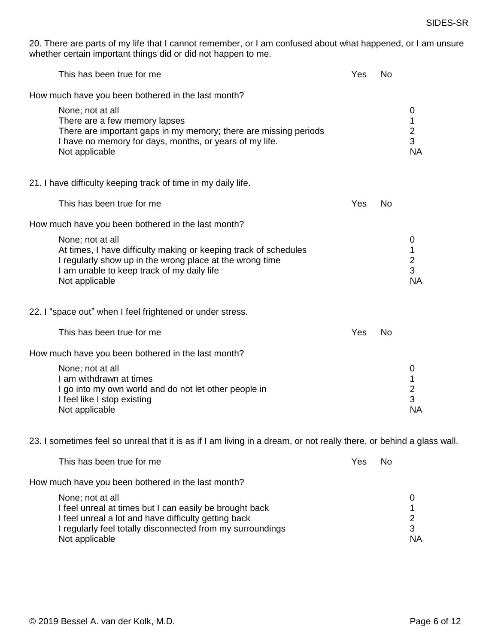20. There are parts of my life that I cannot remember, or I am confused about what happened, or I am unsure whether certain important things did or did not happen to me.

| This has been true for me                                                                                                                                                                                        | Yes                    | <b>No</b> |                                            |
|------------------------------------------------------------------------------------------------------------------------------------------------------------------------------------------------------------------|------------------------|-----------|--------------------------------------------|
| How much have you been bothered in the last month?                                                                                                                                                               |                        |           |                                            |
| None; not at all<br>There are a few memory lapses<br>There are important gaps in my memory; there are missing periods<br>I have no memory for days, months, or years of my life.<br>Not applicable               |                        |           | 0<br>1<br>$\overline{2}$<br>3<br><b>NA</b> |
| 21. I have difficulty keeping track of time in my daily life.                                                                                                                                                    |                        |           |                                            |
| This has been true for me                                                                                                                                                                                        | Yes                    | <b>No</b> |                                            |
| How much have you been bothered in the last month?                                                                                                                                                               |                        |           |                                            |
| None; not at all<br>At times, I have difficulty making or keeping track of schedules<br>I regularly show up in the wrong place at the wrong time<br>I am unable to keep track of my daily life<br>Not applicable |                        |           | 0<br>1<br>$\overline{2}$<br>3<br><b>NA</b> |
| 22. I "space out" when I feel frightened or under stress.                                                                                                                                                        |                        |           |                                            |
| This has been true for me                                                                                                                                                                                        | <b>Yes</b>             | <b>No</b> |                                            |
| How much have you been bothered in the last month?                                                                                                                                                               |                        |           |                                            |
| None; not at all<br>I am withdrawn at times<br>I go into my own world and do not let other people in<br>I feel like I stop existing<br>Not applicable                                                            |                        |           | 0<br>1<br>$\overline{2}$<br>3<br><b>NA</b> |
| 23. I sometimes feel so unreal that it is as if I am living in a dream, or not really there, or behind a glass wall.                                                                                             |                        |           |                                            |
| This has hoan true for mo                                                                                                                                                                                        | $V_{\alpha\alpha}$ No. |           |                                            |

| This has been true for me                                  | r es | <b>INO</b> |           |
|------------------------------------------------------------|------|------------|-----------|
| How much have you been bothered in the last month?         |      |            |           |
| None; not at all                                           |      |            |           |
| I feel unreal at times but I can easily be brought back    |      |            |           |
| I feel unreal a lot and have difficulty getting back       |      |            |           |
| I regularly feel totally disconnected from my surroundings |      |            |           |
| Not applicable                                             |      |            | <b>NA</b> |
|                                                            |      |            |           |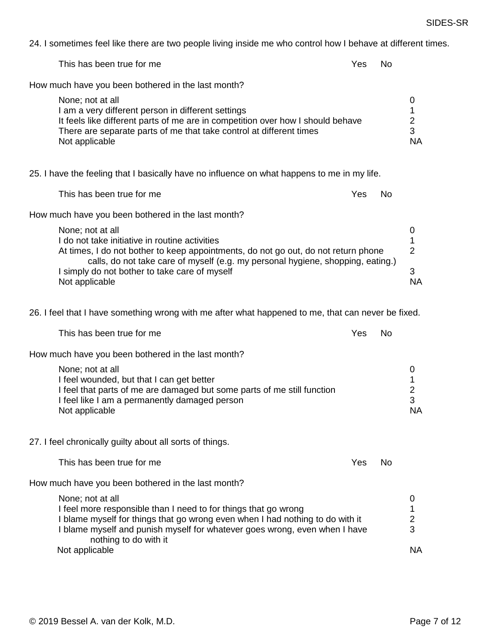24. I sometimes feel like there are two people living inside me who control how I behave at different times.

| $27.1$ surficientes feel like there are two people fiving malue file who control how I behave at unferent                                                                                                                                                                                                      |     |           |                                                       |
|----------------------------------------------------------------------------------------------------------------------------------------------------------------------------------------------------------------------------------------------------------------------------------------------------------------|-----|-----------|-------------------------------------------------------|
| This has been true for me                                                                                                                                                                                                                                                                                      | Yes | No        |                                                       |
| How much have you been bothered in the last month?                                                                                                                                                                                                                                                             |     |           |                                                       |
| None; not at all<br>I am a very different person in different settings<br>It feels like different parts of me are in competition over how I should behave<br>There are separate parts of me that take control at different times<br>Not applicable                                                             |     |           | 0<br>1<br>$\overline{c}$<br>3<br><b>NA</b>            |
| 25. I have the feeling that I basically have no influence on what happens to me in my life.                                                                                                                                                                                                                    |     |           |                                                       |
| This has been true for me                                                                                                                                                                                                                                                                                      | Yes | <b>No</b> |                                                       |
| How much have you been bothered in the last month?                                                                                                                                                                                                                                                             |     |           |                                                       |
| None; not at all<br>I do not take initiative in routine activities<br>At times, I do not bother to keep appointments, do not go out, do not return phone<br>calls, do not take care of myself (e.g. my personal hygiene, shopping, eating.)<br>I simply do not bother to take care of myself<br>Not applicable |     |           | 0<br>$\mathbf{1}$<br>$\overline{2}$<br>3<br><b>NA</b> |
| 26. I feel that I have something wrong with me after what happened to me, that can never be fixed.                                                                                                                                                                                                             |     |           |                                                       |
| This has been true for me                                                                                                                                                                                                                                                                                      | Yes | <b>No</b> |                                                       |
| How much have you been bothered in the last month?                                                                                                                                                                                                                                                             |     |           |                                                       |
| None; not at all<br>I feel wounded, but that I can get better<br>I feel that parts of me are damaged but some parts of me still function<br>I feel like I am a permanently damaged person<br>Not applicable                                                                                                    |     |           | 0<br>1<br>$\overline{\mathbf{c}}$<br>3<br><b>NA</b>   |
| 27. I feel chronically guilty about all sorts of things.                                                                                                                                                                                                                                                       |     |           |                                                       |
| This has been true for me                                                                                                                                                                                                                                                                                      | Yes | No        |                                                       |
| How much have you been bothered in the last month?                                                                                                                                                                                                                                                             |     |           |                                                       |
| None; not at all<br>I feel more responsible than I need to for things that go wrong<br>I blame myself for things that go wrong even when I had nothing to do with it<br>I blame myself and punish myself for whatever goes wrong, even when I have<br>nothing to do with it<br>Not applicable                  |     |           | 0<br>1<br>$\overline{2}$<br>3<br><b>NA</b>            |
|                                                                                                                                                                                                                                                                                                                |     |           |                                                       |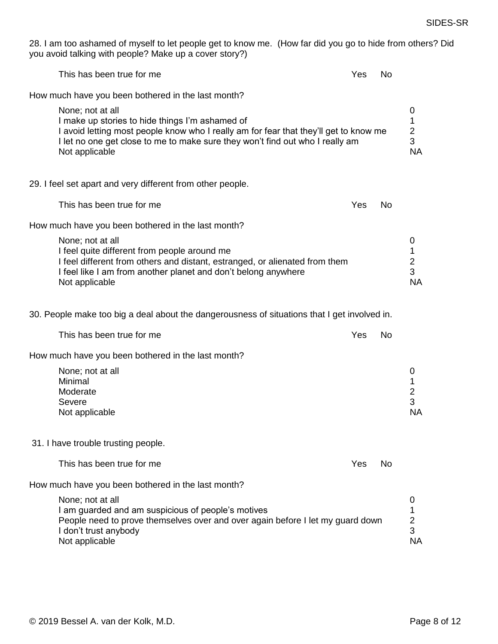28. I am too ashamed of myself to let people get to know me. (How far did you go to hide from others? Did you avoid talking with people? Make up a cover story?)

| No.                                                                                                       |                                                                                                                                                                                       |
|-----------------------------------------------------------------------------------------------------------|---------------------------------------------------------------------------------------------------------------------------------------------------------------------------------------|
|                                                                                                           |                                                                                                                                                                                       |
|                                                                                                           | 0<br>1<br>$\frac{2}{3}$<br><b>NA</b>                                                                                                                                                  |
|                                                                                                           |                                                                                                                                                                                       |
| No                                                                                                        |                                                                                                                                                                                       |
|                                                                                                           |                                                                                                                                                                                       |
|                                                                                                           | 0<br>1<br>$\overline{\mathbf{c}}$<br>3<br><b>NA</b>                                                                                                                                   |
|                                                                                                           |                                                                                                                                                                                       |
| No                                                                                                        |                                                                                                                                                                                       |
|                                                                                                           |                                                                                                                                                                                       |
|                                                                                                           | 0<br>1<br>$\mathbf 2$<br>3<br><b>NA</b>                                                                                                                                               |
|                                                                                                           |                                                                                                                                                                                       |
| No.                                                                                                       |                                                                                                                                                                                       |
|                                                                                                           |                                                                                                                                                                                       |
|                                                                                                           | 0                                                                                                                                                                                     |
| Yes<br>I let no one get close to me to make sure they won't find out who I really am<br>Yes<br>Yes<br>Yes | I avoid letting most people know who I really am for fear that they'll get to know me<br>30. People make too big a deal about the dangerousness of situations that I get involved in. |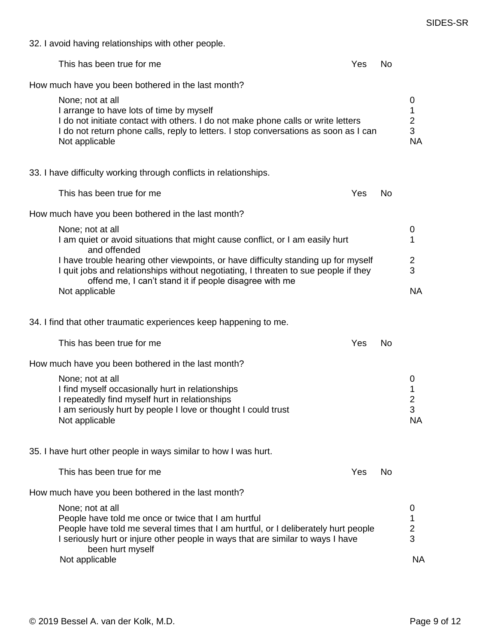32. I avoid having relationships with other people.

| This has been true for me                                                                                                                                                                                                                                                              | Yes | No.       |                                            |
|----------------------------------------------------------------------------------------------------------------------------------------------------------------------------------------------------------------------------------------------------------------------------------------|-----|-----------|--------------------------------------------|
| How much have you been bothered in the last month?                                                                                                                                                                                                                                     |     |           |                                            |
| None; not at all<br>I arrange to have lots of time by myself<br>I do not initiate contact with others. I do not make phone calls or write letters<br>I do not return phone calls, reply to letters. I stop conversations as soon as I can<br>Not applicable                            |     |           | 0<br>1<br>$\frac{2}{3}$<br><b>NA</b>       |
| 33. I have difficulty working through conflicts in relationships.                                                                                                                                                                                                                      |     |           |                                            |
| This has been true for me                                                                                                                                                                                                                                                              | Yes | <b>No</b> |                                            |
| How much have you been bothered in the last month?                                                                                                                                                                                                                                     |     |           |                                            |
| None; not at all<br>I am quiet or avoid situations that might cause conflict, or I am easily hurt<br>and offended                                                                                                                                                                      |     |           | 0<br>1                                     |
| I have trouble hearing other viewpoints, or have difficulty standing up for myself<br>I quit jobs and relationships without negotiating, I threaten to sue people if they<br>offend me, I can't stand it if people disagree with me                                                    |     |           | 2<br>3                                     |
| Not applicable                                                                                                                                                                                                                                                                         |     |           | <b>NA</b>                                  |
| 34. I find that other traumatic experiences keep happening to me.                                                                                                                                                                                                                      |     |           |                                            |
| This has been true for me                                                                                                                                                                                                                                                              | Yes | No.       |                                            |
| How much have you been bothered in the last month?                                                                                                                                                                                                                                     |     |           |                                            |
| None; not at all<br>I find myself occasionally hurt in relationships<br>I repeatedly find myself hurt in relationships<br>I am seriously hurt by people I love or thought I could trust<br>Not applicable                                                                              |     |           | 0<br>1<br>2<br>3<br><b>NA</b>              |
| 35. I have hurt other people in ways similar to how I was hurt.                                                                                                                                                                                                                        |     |           |                                            |
| This has been true for me                                                                                                                                                                                                                                                              | Yes | No        |                                            |
| How much have you been bothered in the last month?                                                                                                                                                                                                                                     |     |           |                                            |
| None; not at all<br>People have told me once or twice that I am hurtful<br>People have told me several times that I am hurtful, or I deliberately hurt people<br>I seriously hurt or injure other people in ways that are similar to ways I have<br>been hurt myself<br>Not applicable |     |           | 0<br>1<br>$\overline{2}$<br>3<br><b>NA</b> |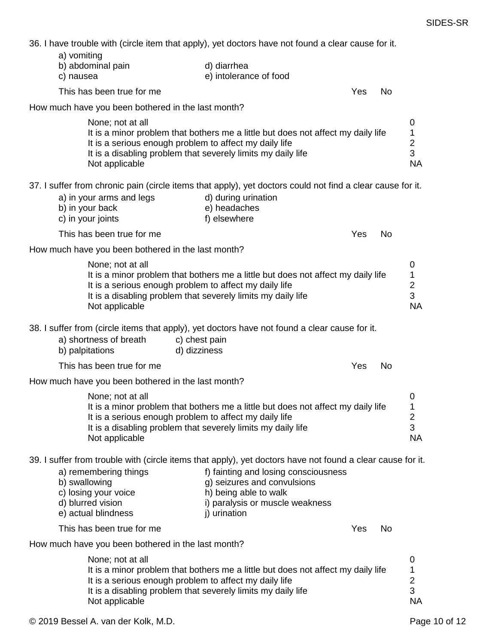36. I have trouble with (circle item that apply), yet doctors have not found a clear cause for it.

|                          | 36. Thave trouble with (circle liem that apply), yet doctors have not found a clear cause for it.                                                                                                                                                |                               |                                                                                                                                                 |     |           |                                                              |
|--------------------------|--------------------------------------------------------------------------------------------------------------------------------------------------------------------------------------------------------------------------------------------------|-------------------------------|-------------------------------------------------------------------------------------------------------------------------------------------------|-----|-----------|--------------------------------------------------------------|
| a) vomiting<br>c) nausea | b) abdominal pain                                                                                                                                                                                                                                |                               | d) diarrhea<br>e) intolerance of food                                                                                                           |     |           |                                                              |
|                          | This has been true for me                                                                                                                                                                                                                        |                               |                                                                                                                                                 | Yes | No        |                                                              |
|                          | How much have you been bothered in the last month?                                                                                                                                                                                               |                               |                                                                                                                                                 |     |           |                                                              |
|                          | None; not at all<br>It is a minor problem that bothers me a little but does not affect my daily life<br>It is a serious enough problem to affect my daily life<br>It is a disabling problem that severely limits my daily life<br>Not applicable |                               |                                                                                                                                                 |     |           | 0<br>$\mathbf{1}$<br>$\frac{2}{3}$<br><b>NA</b>              |
|                          | 37. I suffer from chronic pain (circle items that apply), yet doctors could not find a clear cause for it.<br>a) in your arms and legs<br>b) in your back<br>c) in your joints                                                                   |                               | d) during urination<br>e) headaches<br>f) elsewhere                                                                                             |     |           |                                                              |
|                          | This has been true for me                                                                                                                                                                                                                        |                               |                                                                                                                                                 | Yes | No        |                                                              |
|                          | How much have you been bothered in the last month?                                                                                                                                                                                               |                               |                                                                                                                                                 |     |           |                                                              |
|                          | None; not at all<br>It is a minor problem that bothers me a little but does not affect my daily life<br>It is a serious enough problem to affect my daily life<br>It is a disabling problem that severely limits my daily life<br>Not applicable |                               |                                                                                                                                                 |     |           | 0<br>$\begin{array}{c} 1 \\ 2 \\ 3 \end{array}$<br><b>NA</b> |
|                          | 38. I suffer from (circle items that apply), yet doctors have not found a clear cause for it.<br>a) shortness of breath<br>b) palpitations                                                                                                       | c) chest pain<br>d) dizziness |                                                                                                                                                 |     |           |                                                              |
|                          | This has been true for me                                                                                                                                                                                                                        |                               |                                                                                                                                                 | Yes | <b>No</b> |                                                              |
|                          | How much have you been bothered in the last month?                                                                                                                                                                                               |                               |                                                                                                                                                 |     |           |                                                              |
|                          | None; not at all<br>It is a minor problem that bothers me a little but does not affect my daily life<br>It is a serious enough problem to affect my daily life<br>It is a disabling problem that severely limits my daily life<br>Not applicable |                               |                                                                                                                                                 |     |           | 0<br>$\overline{\mathbf{c}}$<br>3<br><b>NA</b>               |
|                          | 39. I suffer from trouble with (circle items that apply), yet doctors have not found a clear cause for it.<br>a) remembering things<br>b) swallowing<br>c) losing your voice<br>d) blurred vision<br>e) actual blindness                         |                               | f) fainting and losing consciousness<br>g) seizures and convulsions<br>h) being able to walk<br>i) paralysis or muscle weakness<br>j) urination |     |           |                                                              |
|                          | This has been true for me                                                                                                                                                                                                                        |                               |                                                                                                                                                 | Yes | No        |                                                              |
|                          | How much have you been bothered in the last month?                                                                                                                                                                                               |                               |                                                                                                                                                 |     |           |                                                              |
|                          | None; not at all<br>It is a minor problem that bothers me a little but does not affect my daily life<br>It is a serious enough problem to affect my daily life<br>It is a disabling problem that severely limits my daily life<br>Not applicable |                               |                                                                                                                                                 |     |           | 0<br>1<br>$\overline{2}$<br>3<br><b>NA</b>                   |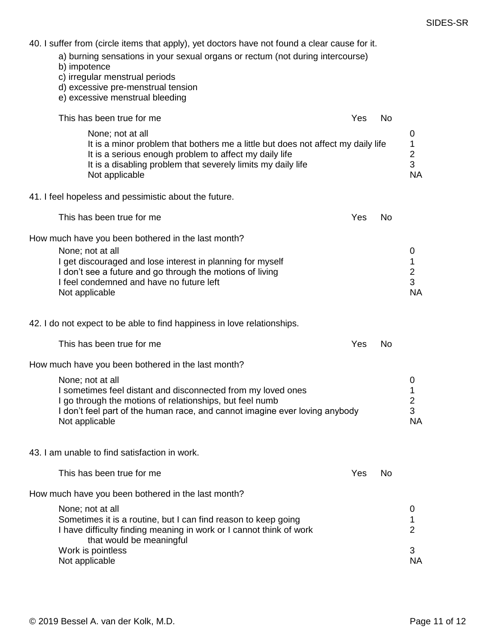40. I suffer from (circle items that apply), yet doctors have not found a clear cause for it.

- a) burning sensations in your sexual organs or rectum (not during intercourse)
- b) impotence
- c) irregular menstrual periods
- d) excessive pre-menstrual tension
- e) excessive menstrual bleeding

| This has been true for me                                                                                                                                                                                                                                       | Yes | No        |                                                       |
|-----------------------------------------------------------------------------------------------------------------------------------------------------------------------------------------------------------------------------------------------------------------|-----|-----------|-------------------------------------------------------|
| None; not at all<br>It is a minor problem that bothers me a little but does not affect my daily life<br>It is a serious enough problem to affect my daily life<br>It is a disabling problem that severely limits my daily life<br>Not applicable                |     |           | 0<br>$\mathbf{1}$<br>$\overline{2}$<br>3<br><b>NA</b> |
| 41. I feel hopeless and pessimistic about the future.                                                                                                                                                                                                           |     |           |                                                       |
| This has been true for me                                                                                                                                                                                                                                       | Yes | No        |                                                       |
| How much have you been bothered in the last month?<br>None; not at all<br>I get discouraged and lose interest in planning for myself<br>I don't see a future and go through the motions of living<br>I feel condemned and have no future left<br>Not applicable |     |           | 0<br>1<br>$\overline{2}$<br>3<br><b>NA</b>            |
| 42. I do not expect to be able to find happiness in love relationships.                                                                                                                                                                                         |     |           |                                                       |
| This has been true for me                                                                                                                                                                                                                                       | Yes | <b>No</b> |                                                       |
| How much have you been bothered in the last month?                                                                                                                                                                                                              |     |           |                                                       |
| None; not at all<br>I sometimes feel distant and disconnected from my loved ones<br>I go through the motions of relationships, but feel numb<br>I don't feel part of the human race, and cannot imagine ever loving anybody<br>Not applicable                   |     |           | $\mathbf 0$<br>1<br>$\overline{2}$<br>3<br><b>NA</b>  |
| 43. I am unable to find satisfaction in work.                                                                                                                                                                                                                   |     |           |                                                       |
| This has been true for me                                                                                                                                                                                                                                       | Yes | No.       |                                                       |
| How much have you been bothered in the last month?                                                                                                                                                                                                              |     |           |                                                       |
| None; not at all<br>Sometimes it is a routine, but I can find reason to keep going<br>I have difficulty finding meaning in work or I cannot think of work<br>that would be meaningful                                                                           |     |           | 0<br>1<br>$\overline{2}$                              |
| Work is pointless<br>Not applicable                                                                                                                                                                                                                             |     |           | 3<br><b>NA</b>                                        |